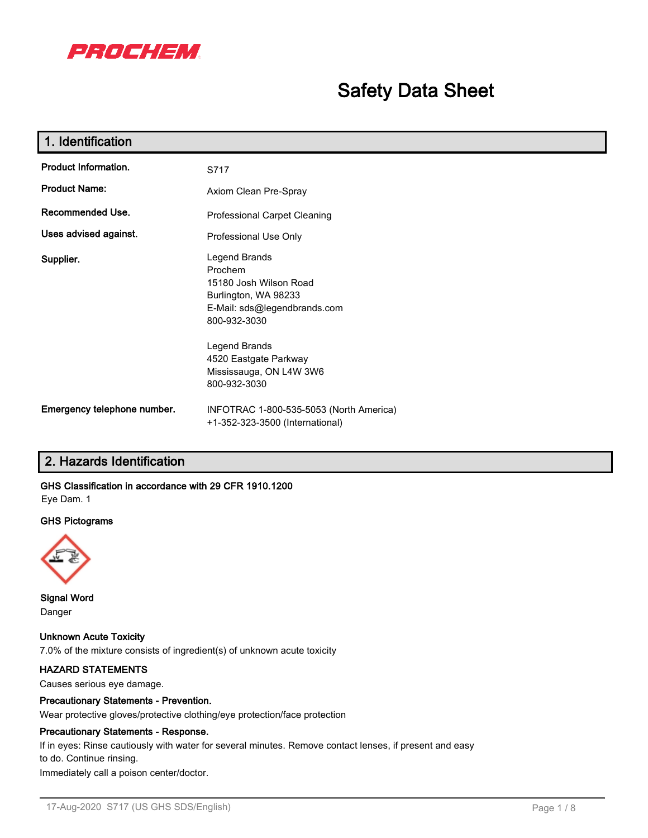

# **Safety Data Sheet**

| 1. Identification                                       |                                                                                                                                                                                                                 |  |
|---------------------------------------------------------|-----------------------------------------------------------------------------------------------------------------------------------------------------------------------------------------------------------------|--|
| <b>Product Information.</b>                             | S717                                                                                                                                                                                                            |  |
| <b>Product Name:</b>                                    | Axiom Clean Pre-Spray                                                                                                                                                                                           |  |
| Recommended Use.<br><b>Professional Carpet Cleaning</b> |                                                                                                                                                                                                                 |  |
| Uses advised against.                                   | Professional Use Only                                                                                                                                                                                           |  |
| Supplier.                                               | Legend Brands<br>Prochem<br>15180 Josh Wilson Road<br>Burlington, WA 98233<br>E-Mail: sds@legendbrands.com<br>800-932-3030<br>Legend Brands<br>4520 Eastgate Parkway<br>Mississauga, ON L4W 3W6<br>800-932-3030 |  |
| Emergency telephone number.                             | INFOTRAC 1-800-535-5053 (North America)<br>+1-352-323-3500 (International)                                                                                                                                      |  |

# **2. Hazards Identification**

# **GHS Classification in accordance with 29 CFR 1910.1200**

Eye Dam. 1

#### **GHS Pictograms**



**Signal Word** Danger

**Unknown Acute Toxicity** 7.0% of the mixture consists of ingredient(s) of unknown acute toxicity

### **HAZARD STATEMENTS**

Causes serious eye damage.

### **Precautionary Statements - Prevention.**

Wear protective gloves/protective clothing/eye protection/face protection

#### **Precautionary Statements - Response.**

If in eyes: Rinse cautiously with water for several minutes. Remove contact lenses, if present and easy to do. Continue rinsing.

Immediately call a poison center/doctor.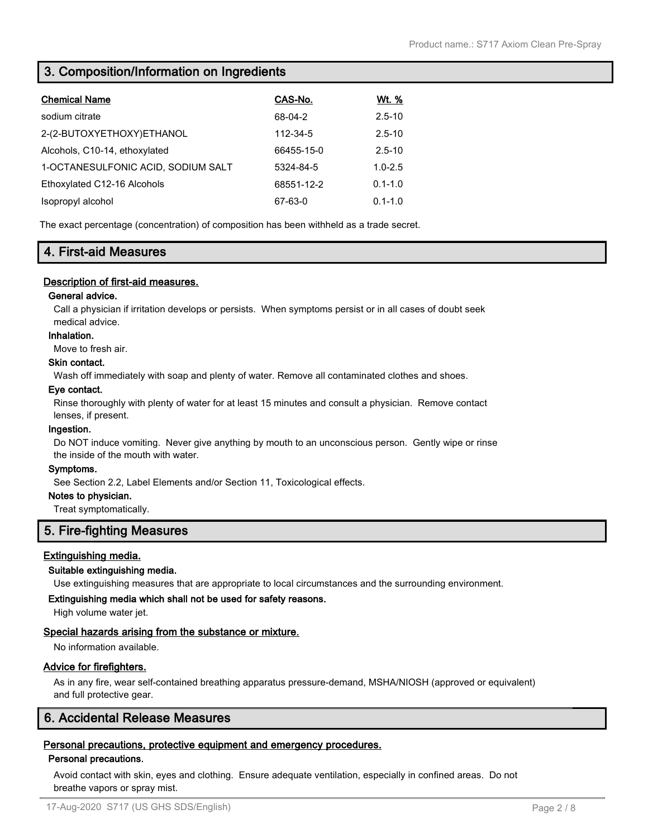# **3. Composition/Information on Ingredients**

| <b>Chemical Name</b>               | CAS-No.    | <u>Wt. %</u> |
|------------------------------------|------------|--------------|
| sodium citrate                     | 68-04-2    | $2.5 - 10$   |
| 2-(2-BUTOXYETHOXY)ETHANOL          | 112-34-5   | $2.5 - 10$   |
| Alcohols, C10-14, ethoxylated      | 66455-15-0 | $2.5 - 10$   |
| 1-OCTANESULFONIC ACID, SODIUM SALT | 5324-84-5  | $1.0 - 2.5$  |
| Ethoxylated C12-16 Alcohols        | 68551-12-2 | $0.1 - 1.0$  |
| Isopropyl alcohol                  | 67-63-0    | $0.1 - 1.0$  |
|                                    |            |              |

The exact percentage (concentration) of composition has been withheld as a trade secret.

# **4. First-aid Measures**

### **Description of first-aid measures.**

### **General advice.**

Call a physician if irritation develops or persists. When symptoms persist or in all cases of doubt seek medical advice.

### **Inhalation.**

Move to fresh air.

#### **Skin contact.**

Wash off immediately with soap and plenty of water. Remove all contaminated clothes and shoes.

### **Eye contact.**

Rinse thoroughly with plenty of water for at least 15 minutes and consult a physician. Remove contact lenses, if present.

### **Ingestion.**

Do NOT induce vomiting. Never give anything by mouth to an unconscious person. Gently wipe or rinse the inside of the mouth with water.

### **Symptoms.**

See Section 2.2, Label Elements and/or Section 11, Toxicological effects.

### **Notes to physician.**

Treat symptomatically.

# **5. Fire-fighting Measures**

### **Extinguishing media.**

### **Suitable extinguishing media.**

Use extinguishing measures that are appropriate to local circumstances and the surrounding environment.

### **Extinguishing media which shall not be used for safety reasons.**

High volume water jet.

### **Special hazards arising from the substance or mixture.**

No information available.

### **Advice for firefighters.**

As in any fire, wear self-contained breathing apparatus pressure-demand, MSHA/NIOSH (approved or equivalent) and full protective gear.

# **6. Accidental Release Measures**

### **Personal precautions, protective equipment and emergency procedures.**

### **Personal precautions.**

Avoid contact with skin, eyes and clothing. Ensure adequate ventilation, especially in confined areas. Do not breathe vapors or spray mist.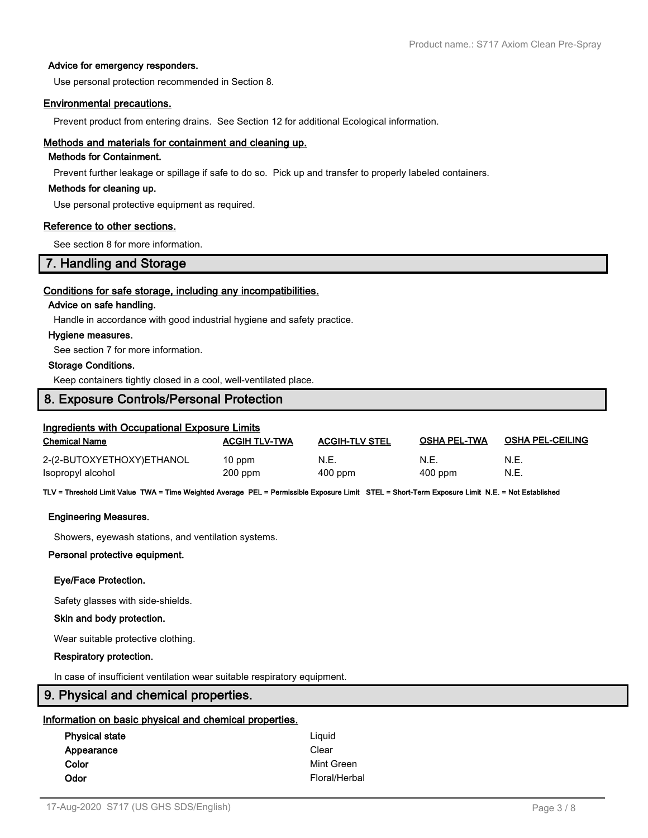#### **Advice for emergency responders.**

Use personal protection recommended in Section 8.

#### **Environmental precautions.**

Prevent product from entering drains. See Section 12 for additional Ecological information.

#### **Methods and materials for containment and cleaning up.**

### **Methods for Containment.**

Prevent further leakage or spillage if safe to do so. Pick up and transfer to properly labeled containers.

#### **Methods for cleaning up.**

Use personal protective equipment as required.

#### **Reference to other sections.**

See section 8 for more information.

### **7. Handling and Storage**

#### **Conditions for safe storage, including any incompatibilities.**

#### **Advice on safe handling.**

Handle in accordance with good industrial hygiene and safety practice.

#### **Hygiene measures.**

See section 7 for more information.

#### **Storage Conditions.**

Keep containers tightly closed in a cool, well-ventilated place.

### **8. Exposure Controls/Personal Protection**

## **Ingredients with Occupational Exposure Limits**

| <b>Chemical Name</b>      | <b>ACGIH TLV-TWA</b> | <b>ACGIH-TLV STEL</b> | <b>OSHA PEL-TWA</b> | <b>OSHA PEL-CEILING</b> |
|---------------------------|----------------------|-----------------------|---------------------|-------------------------|
| 2-(2-BUTOXYETHOXY)ETHANOL | 10 ppm               | N.E.                  | N.E.                | N.E.                    |
| Isopropyl alcohol         | $200$ ppm            | 400 ppm               | 400 ppm             | N.E.                    |

**TLV = Threshold Limit Value TWA = Time Weighted Average PEL = Permissible Exposure Limit STEL = Short-Term Exposure Limit N.E. = Not Established**

#### **Engineering Measures.**

Showers, eyewash stations, and ventilation systems.

#### **Personal protective equipment.**

#### **Eye/Face Protection.**

Safety glasses with side-shields.

#### **Skin and body protection.**

Wear suitable protective clothing.

#### **Respiratory protection.**

In case of insufficient ventilation wear suitable respiratory equipment.

### **9. Physical and chemical properties.**

### **Information on basic physical and chemical properties.**

| Liguid        |
|---------------|
| Clear         |
| Mint Green    |
| Floral/Herbal |
|               |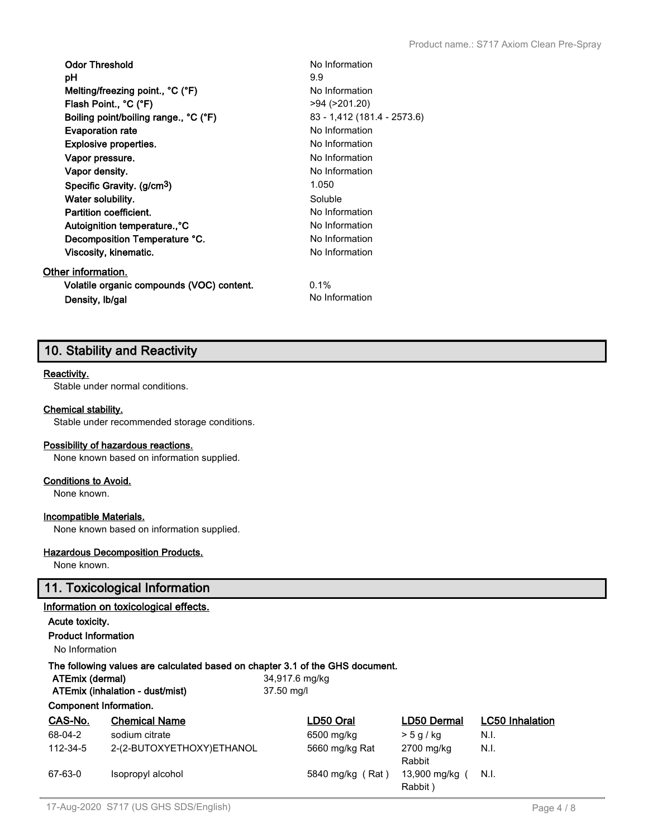| <b>Odor Threshold</b><br>рH               | No Information<br>9.9       |
|-------------------------------------------|-----------------------------|
| Melting/freezing point., °C (°F)          | No Information              |
| Flash Point., °C (°F)                     | >94 (>201.20)               |
| Boiling point/boiling range., °C (°F)     | 83 - 1,412 (181.4 - 2573.6) |
| <b>Evaporation rate</b>                   | No Information              |
| <b>Explosive properties.</b>              | No Information              |
| Vapor pressure.                           | No Information              |
| Vapor density.                            | No Information              |
| Specific Gravity. (g/cm <sup>3</sup> )    | 1.050                       |
| Water solubility.                         | Soluble                     |
| Partition coefficient.                    | No Information              |
| Autoignition temperature., °C             | No Information              |
| Decomposition Temperature °C.             | No Information              |
| Viscosity, kinematic.                     | No Information              |
| Other information.                        |                             |
| Volatile organic compounds (VOC) content. | $0.1\%$                     |
| Density, Ib/gal                           | No Information              |

# **10. Stability and Reactivity**

#### **Reactivity.**

Stable under normal conditions.

#### **Chemical stability.**

Stable under recommended storage conditions.

#### **Possibility of hazardous reactions.**

None known based on information supplied.

### **Conditions to Avoid.**

None known.

#### **Incompatible Materials.**

None known based on information supplied.

### **Hazardous Decomposition Products.**

None known.

### **11. Toxicological Information**

### **Information on toxicological effects.**

#### **Acute toxicity.**

**Product Information**

No Information

### **The following values are calculated based on chapter 3.1 of the GHS document.**

**ATEmix (dermal)** 34,917.6 mg/kg

**ATEmix (inhalation - dust/mist)** 37.50 mg/l

### **Component Information.**

| CAS-No.  | <b>Chemical Name</b>      | LD50 Oral        | LD50 Dermal             | <b>LC50</b> Inhalation |
|----------|---------------------------|------------------|-------------------------|------------------------|
| 68-04-2  | sodium citrate            | 6500 mg/kg       | > 5 q/kq                | N.I.                   |
| 112-34-5 | 2-(2-BUTOXYETHOXY)ETHANOL | 5660 mg/kg Rat   | 2700 mg/kg<br>Rabbit    | N.I.                   |
| 67-63-0  | Isopropyl alcohol         | 5840 mg/kg (Rat) | 13,900 mg/kg<br>Rabbit) | N.I.                   |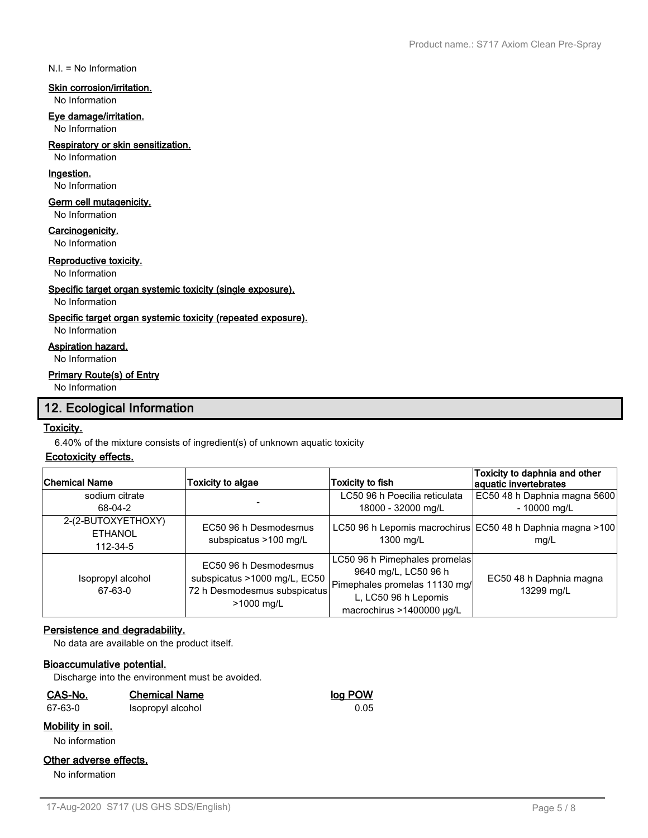N.I. = No Information

#### **Skin corrosion/irritation.**

#### No Information

#### **Eye damage/irritation.**

No Information

### **Respiratory or skin sensitization.**

No Information

### **Ingestion.**

No Information

### **Germ cell mutagenicity.**

No Information

#### **Carcinogenicity.**

No Information

### **Reproductive toxicity.**

No Information

#### **Specific target organ systemic toxicity (single exposure).**

### No Information

### **Specific target organ systemic toxicity (repeated exposure).**

No Information

#### **Aspiration hazard.**

No Information

### **Primary Route(s) of Entry**

No Information

# **12. Ecological Information**

### **Toxicity.**

6.40% of the mixture consists of ingredient(s) of unknown aquatic toxicity

### **Ecotoxicity effects.**

| Chemical Name                                    | Toxicity to algae                                                                                   | Toxicity to fish                                                                                                                            | Toxicity to daphnia and other<br>aquatic invertebrates             |
|--------------------------------------------------|-----------------------------------------------------------------------------------------------------|---------------------------------------------------------------------------------------------------------------------------------------------|--------------------------------------------------------------------|
| sodium citrate<br>68-04-2                        |                                                                                                     | LC50 96 h Poecilia reticulata<br>18000 - 32000 mg/L                                                                                         | EC50 48 h Daphnia magna 5600<br>$-10000$ mg/L                      |
| 2-(2-BUTOXYETHOXY)<br><b>ETHANOL</b><br>112-34-5 | EC50 96 h Desmodesmus<br>subspicatus >100 mg/L                                                      | 1300 mg/L                                                                                                                                   | LC50 96 h Lepomis macrochirus EC50 48 h Daphnia magna >100<br>mq/L |
| Isopropyl alcohol<br>67-63-0                     | EC50 96 h Desmodesmus<br>subspicatus >1000 mg/L, EC50<br>72 h Desmodesmus subspicatus<br>>1000 mg/L | LC50 96 h Pimephales promelas<br>9640 mg/L, LC50 96 h<br>Pimephales promelas 11130 mg/<br>L, LC50 96 h Lepomis<br>macrochirus >1400000 µg/L | EC50 48 h Daphnia magna<br>13299 mg/L                              |

### **Persistence and degradability.**

No data are available on the product itself.

### **Bioaccumulative potential.**

Discharge into the environment must be avoided.

| <u>CAS-No.</u>           | <b>Chemical Name</b> | log POW |
|--------------------------|----------------------|---------|
| 67-63-0                  | Isopropyl alcohol    | 0.05    |
| <u>Mobility in soil.</u> |                      |         |

#### No information

### **Other adverse effects.**

No information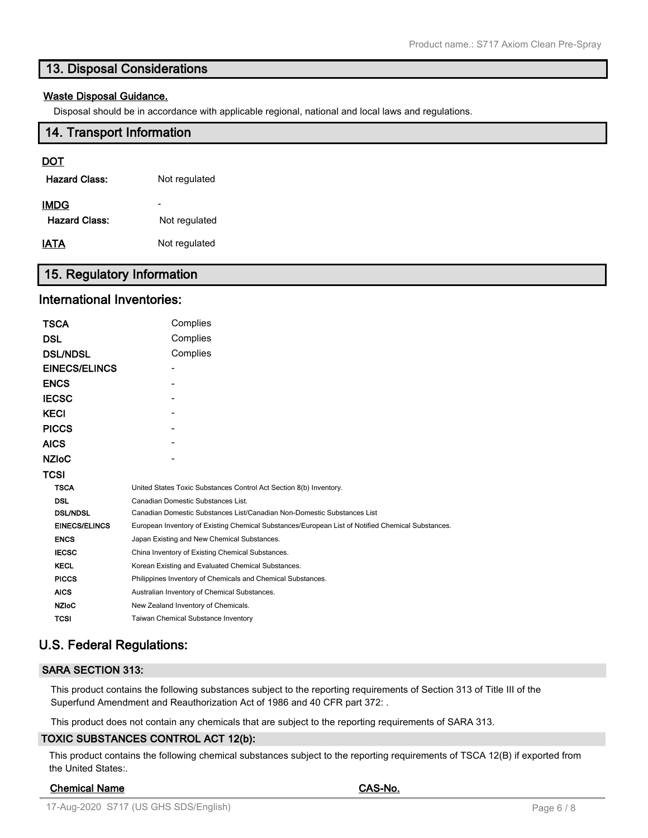# **13. Disposal Considerations**

### **Waste Disposal Guidance.**

Disposal should be in accordance with applicable regional, national and local laws and regulations.

### **14. Transport Information**

### **DOT**

| Hazard Class:        | Not regulated |
|----------------------|---------------|
| IMDG                 |               |
| <b>Hazard Class:</b> | Not regulated |
| IATA                 | Not regulated |

# **15. Regulatory Information**

## **International Inventories:**

| TSCA                 | Complies                                                                                          |  |  |
|----------------------|---------------------------------------------------------------------------------------------------|--|--|
| DSL                  | Complies                                                                                          |  |  |
| <b>DSL/NDSL</b>      | Complies                                                                                          |  |  |
| <b>EINECS/ELINCS</b> |                                                                                                   |  |  |
| <b>ENCS</b>          |                                                                                                   |  |  |
| <b>IECSC</b>         |                                                                                                   |  |  |
| KECI                 |                                                                                                   |  |  |
| <b>PICCS</b>         |                                                                                                   |  |  |
| AICS                 |                                                                                                   |  |  |
| <b>NZIoC</b>         |                                                                                                   |  |  |
| TCSI                 |                                                                                                   |  |  |
| <b>TSCA</b>          | United States Toxic Substances Control Act Section 8(b) Inventory.                                |  |  |
| <b>DSL</b>           | Canadian Domestic Substances List.                                                                |  |  |
| <b>DSL/NDSL</b>      | Canadian Domestic Substances List/Canadian Non-Domestic Substances List                           |  |  |
| <b>EINECS/ELINCS</b> | European Inventory of Existing Chemical Substances/European List of Notified Chemical Substances. |  |  |
| <b>ENCS</b>          | Japan Existing and New Chemical Substances.                                                       |  |  |
| <b>IECSC</b>         | China Inventory of Existing Chemical Substances.                                                  |  |  |
| <b>KECL</b>          | Korean Existing and Evaluated Chemical Substances.                                                |  |  |
| <b>PICCS</b>         | Philippines Inventory of Chemicals and Chemical Substances.                                       |  |  |
| <b>AICS</b>          | Australian Inventory of Chemical Substances.                                                      |  |  |
| <b>NZIoC</b>         | New Zealand Inventory of Chemicals.                                                               |  |  |
| <b>TCSI</b>          | Taiwan Chemical Substance Inventory                                                               |  |  |
|                      |                                                                                                   |  |  |

# **U.S. Federal Regulations:**

### **SARA SECTION 313:**

This product contains the following substances subject to the reporting requirements of Section 313 of Title III of the Superfund Amendment and Reauthorization Act of 1986 and 40 CFR part 372: .

This product does not contain any chemicals that are subject to the reporting requirements of SARA 313.

### **TOXIC SUBSTANCES CONTROL ACT 12(b):**

This product contains the following chemical substances subject to the reporting requirements of TSCA 12(B) if exported from the United States:.

### **Chemical Name CAS-No.**